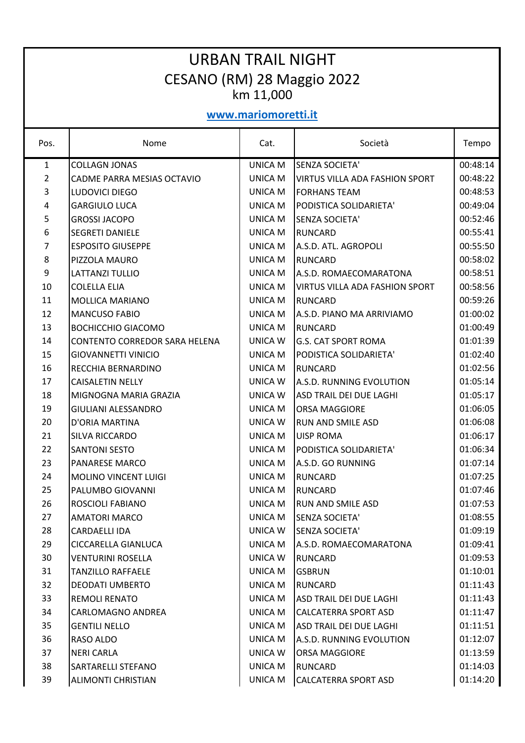| <b>URBAN TRAIL NIGHT</b><br>CESANO (RM) 28 Maggio 2022<br>km 11,000 |                                             |                           |                                          |                      |  |  |
|---------------------------------------------------------------------|---------------------------------------------|---------------------------|------------------------------------------|----------------------|--|--|
| www.mariomoretti.it                                                 |                                             |                           |                                          |                      |  |  |
| Pos.                                                                | Nome                                        | Cat.                      | Società                                  | Tempo                |  |  |
| $\mathbf{1}$                                                        | <b>COLLAGN JONAS</b>                        | <b>UNICA M</b>            | SENZA SOCIETA'                           | 00:48:14             |  |  |
| 2                                                                   | CADME PARRA MESIAS OCTAVIO                  | UNICA M                   | <b>VIRTUS VILLA ADA FASHION SPORT</b>    | 00:48:22             |  |  |
| 3                                                                   | LUDOVICI DIEGO                              | <b>UNICA M</b>            | <b>FORHANS TEAM</b>                      | 00:48:53             |  |  |
| 4                                                                   | <b>GARGIULO LUCA</b>                        | UNICA M                   | PODISTICA SOLIDARIETA'                   | 00:49:04             |  |  |
| 5                                                                   | <b>GROSSI JACOPO</b>                        | UNICA M                   | SENZA SOCIETA'                           | 00:52:46             |  |  |
| 6                                                                   | <b>SEGRETI DANIELE</b>                      | UNICA M                   | <b>RUNCARD</b>                           | 00:55:41             |  |  |
| 7<br>8                                                              | <b>ESPOSITO GIUSEPPE</b><br>PIZZOLA MAURO   | <b>UNICA M</b><br>UNICA M | A.S.D. ATL. AGROPOLI<br><b>RUNCARD</b>   | 00:55:50<br>00:58:02 |  |  |
| 9                                                                   | <b>LATTANZI TULLIO</b>                      | UNICA M                   | A.S.D. ROMAECOMARATONA                   | 00:58:51             |  |  |
| 10                                                                  | <b>COLELLA ELIA</b>                         | UNICA M                   | <b>VIRTUS VILLA ADA FASHION SPORT</b>    | 00:58:56             |  |  |
| 11                                                                  | <b>MOLLICA MARIANO</b>                      | UNICA M                   | <b>RUNCARD</b>                           | 00:59:26             |  |  |
| 12                                                                  | <b>MANCUSO FABIO</b>                        | UNICA M                   | A.S.D. PIANO MA ARRIVIAMO                | 01:00:02             |  |  |
| 13                                                                  | <b>BOCHICCHIO GIACOMO</b>                   | UNICA M                   | <b>RUNCARD</b>                           | 01:00:49             |  |  |
| 14                                                                  | <b>CONTENTO CORREDOR SARA HELENA</b>        | <b>UNICA W</b>            | <b>G.S. CAT SPORT ROMA</b>               | 01:01:39             |  |  |
| 15                                                                  | <b>GIOVANNETTI VINICIO</b>                  | UNICA M                   | PODISTICA SOLIDARIETA'                   | 01:02:40             |  |  |
| 16                                                                  | RECCHIA BERNARDINO                          | UNICA M                   | <b>RUNCARD</b>                           | 01:02:56             |  |  |
| 17                                                                  | <b>CAISALETIN NELLY</b>                     | <b>UNICA W</b>            | A.S.D. RUNNING EVOLUTION                 | 01:05:14             |  |  |
| 18                                                                  | MIGNOGNA MARIA GRAZIA                       | <b>UNICA W</b>            | <b>ASD TRAIL DEI DUE LAGHI</b>           | 01:05:17             |  |  |
| 19                                                                  | <b>GIULIANI ALESSANDRO</b>                  | UNICA M                   | <b>ORSA MAGGIORE</b>                     | 01:06:05             |  |  |
| 20                                                                  | D'ORIA MARTINA                              | UNICA W                   | <b>RUN AND SMILE ASD</b>                 | 01:06:08             |  |  |
| 21                                                                  | <b>SILVA RICCARDO</b>                       | UNICA M                   | <b>UISP ROMA</b>                         | 01:06:17             |  |  |
| 22                                                                  | <b>SANTONI SESTO</b>                        | UNICA M                   | PODISTICA SOLIDARIETA'                   | 01:06:34             |  |  |
| 23                                                                  | <b>PANARESE MARCO</b>                       | UNICA M                   | A.S.D. GO RUNNING                        | 01:07:14             |  |  |
| 24                                                                  | MOLINO VINCENT LUIGI                        | UNICA M                   | <b>RUNCARD</b>                           | 01:07:25             |  |  |
| 25                                                                  | PALUMBO GIOVANNI                            | UNICA M                   | <b>RUNCARD</b>                           | 01:07:46             |  |  |
| 26                                                                  | <b>ROSCIOLI FABIANO</b>                     | UNICA M                   | <b>RUN AND SMILE ASD</b>                 | 01:07:53             |  |  |
| 27                                                                  | <b>AMATORI MARCO</b>                        | UNICA M<br>UNICA W        | SENZA SOCIETA'                           | 01:08:55             |  |  |
| 28<br>29                                                            | CARDAELLI IDA<br><b>CICCARELLA GIANLUCA</b> | UNICA M                   | SENZA SOCIETA'<br>A.S.D. ROMAECOMARATONA | 01:09:19<br>01:09:41 |  |  |
| 30                                                                  | <b>VENTURINI ROSELLA</b>                    | UNICA W                   | <b>RUNCARD</b>                           | 01:09:53             |  |  |
| 31                                                                  | <b>TANZILLO RAFFAELE</b>                    | UNICA M                   | <b>GSBRUN</b>                            | 01:10:01             |  |  |
| 32                                                                  | <b>DEODATI UMBERTO</b>                      | UNICA M                   | <b>RUNCARD</b>                           | 01:11:43             |  |  |
| 33                                                                  | <b>REMOLI RENATO</b>                        | UNICA M                   | <b>ASD TRAIL DEI DUE LAGHI</b>           | 01:11:43             |  |  |
| 34                                                                  | <b>CARLOMAGNO ANDREA</b>                    | UNICA M                   | <b>CALCATERRA SPORT ASD</b>              | 01:11:47             |  |  |
| 35                                                                  | <b>GENTILI NELLO</b>                        | UNICA M                   | <b>ASD TRAIL DEI DUE LAGHI</b>           | 01:11:51             |  |  |
| 36                                                                  | RASO ALDO                                   | UNICA M                   | A.S.D. RUNNING EVOLUTION                 | 01:12:07             |  |  |
| 37                                                                  | <b>NERI CARLA</b>                           | UNICA W                   | <b>ORSA MAGGIORE</b>                     | 01:13:59             |  |  |
| 38                                                                  | <b>SARTARELLI STEFANO</b>                   | UNICA M                   | <b>RUNCARD</b>                           | 01:14:03             |  |  |
| 39                                                                  | <b>ALIMONTI CHRISTIAN</b>                   | UNICA M                   | <b>CALCATERRA SPORT ASD</b>              | 01:14:20             |  |  |